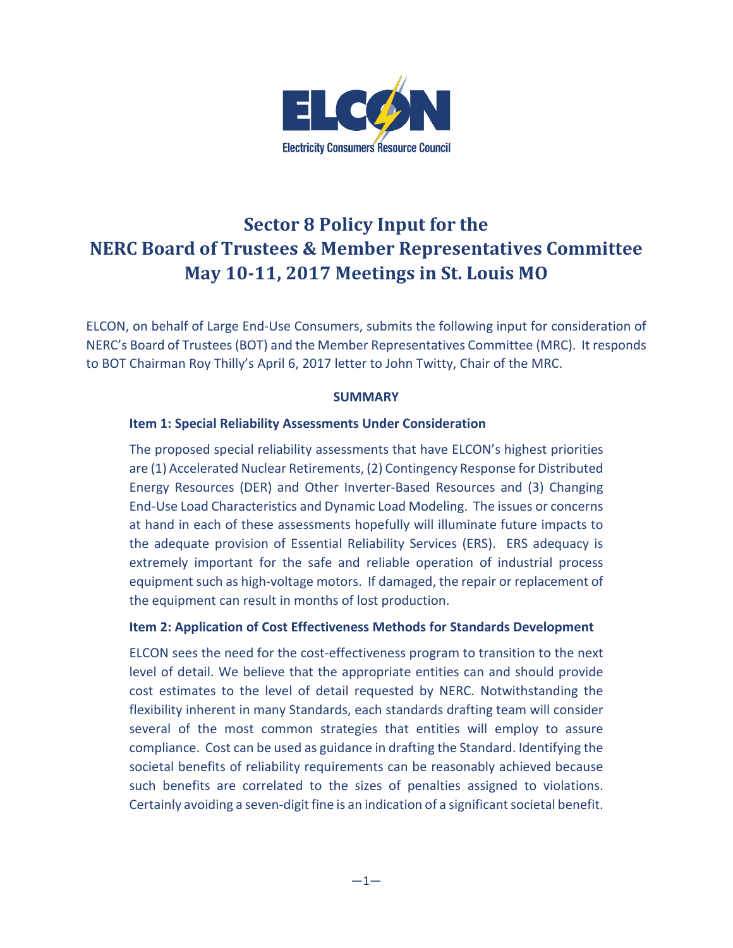

# **Sector 8 Policy Input for the NERC Board of Trustees & Member Representatives Committee May 10-11, 2017 Meetings in St. Louis MO**

ELCON, on behalf of Large End-Use Consumers, submits the following input for consideration of NERC's Board of Trustees (BOT) and the Member Representatives Committee (MRC). It responds to BOT Chairman Roy Thilly's April 6, 2017 letter to John Twitty, Chair of the MRC.

## **SUMMARY**

#### **Item 1: Special Reliability Assessments Under Consideration**

The proposed special reliability assessments that have ELCON's highest priorities are (1) Accelerated Nuclear Retirements, (2) Contingency Response for Distributed Energy Resources (DER) and Other Inverter-Based Resources and (3) Changing End-Use Load Characteristics and Dynamic Load Modeling. The issues or concerns at hand in each of these assessments hopefully will illuminate future impacts to the adequate provision of Essential Reliability Services (ERS). ERS adequacy is extremely important for the safe and reliable operation of industrial process equipment such as high-voltage motors. If damaged, the repair or replacement of the equipment can result in months of lost production.

#### **Item 2: Application of Cost Effectiveness Methods for Standards Development**

ELCON sees the need for the cost-effectiveness program to transition to the next level of detail. We believe that the appropriate entities can and should provide cost estimates to the level of detail requested by NERC. Notwithstanding the flexibility inherent in many Standards, each standards drafting team will consider several of the most common strategies that entities will employ to assure compliance. Cost can be used as guidance in drafting the Standard. Identifying the societal benefits of reliability requirements can be reasonably achieved because such benefits are correlated to the sizes of penalties assigned to violations. Certainly avoiding a seven-digit fine is an indication of a significant societal benefit.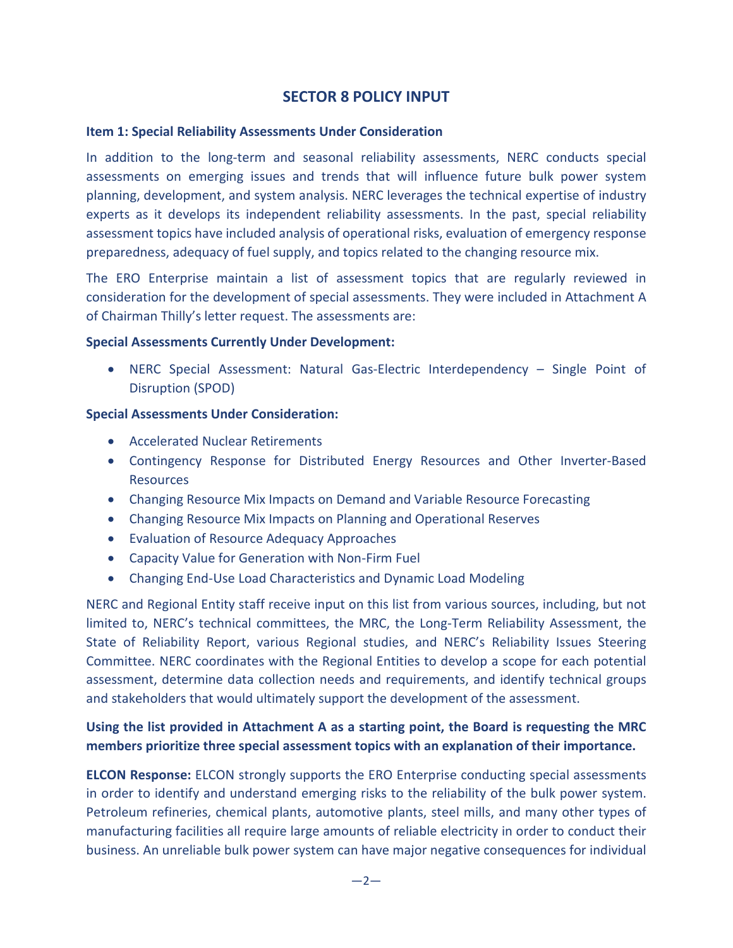# **SECTOR 8 POLICY INPUT**

#### **Item 1: Special Reliability Assessments Under Consideration**

In addition to the long-term and seasonal reliability assessments, NERC conducts special assessments on emerging issues and trends that will influence future bulk power system planning, development, and system analysis. NERC leverages the technical expertise of industry experts as it develops its independent reliability assessments. In the past, special reliability assessment topics have included analysis of operational risks, evaluation of emergency response preparedness, adequacy of fuel supply, and topics related to the changing resource mix.

The ERO Enterprise maintain a list of assessment topics that are regularly reviewed in consideration for the development of special assessments. They were included in Attachment A of Chairman Thilly's letter request. The assessments are:

#### **Special Assessments Currently Under Development:**

• NERC Special Assessment: Natural Gas-Electric Interdependency – Single Point of Disruption (SPOD)

## **Special Assessments Under Consideration:**

- Accelerated Nuclear Retirements
- Contingency Response for Distributed Energy Resources and Other Inverter-Based Resources
- Changing Resource Mix Impacts on Demand and Variable Resource Forecasting
- Changing Resource Mix Impacts on Planning and Operational Reserves
- Evaluation of Resource Adequacy Approaches
- Capacity Value for Generation with Non-Firm Fuel
- Changing End-Use Load Characteristics and Dynamic Load Modeling

NERC and Regional Entity staff receive input on this list from various sources, including, but not limited to, NERC's technical committees, the MRC, the Long-Term Reliability Assessment, the State of Reliability Report, various Regional studies, and NERC's Reliability Issues Steering Committee. NERC coordinates with the Regional Entities to develop a scope for each potential assessment, determine data collection needs and requirements, and identify technical groups and stakeholders that would ultimately support the development of the assessment.

# **Using the list provided in Attachment A as a starting point, the Board is requesting the MRC members prioritize three special assessment topics with an explanation of their importance.**

**ELCON Response:** ELCON strongly supports the ERO Enterprise conducting special assessments in order to identify and understand emerging risks to the reliability of the bulk power system. Petroleum refineries, chemical plants, automotive plants, steel mills, and many other types of manufacturing facilities all require large amounts of reliable electricity in order to conduct their business. An unreliable bulk power system can have major negative consequences for individual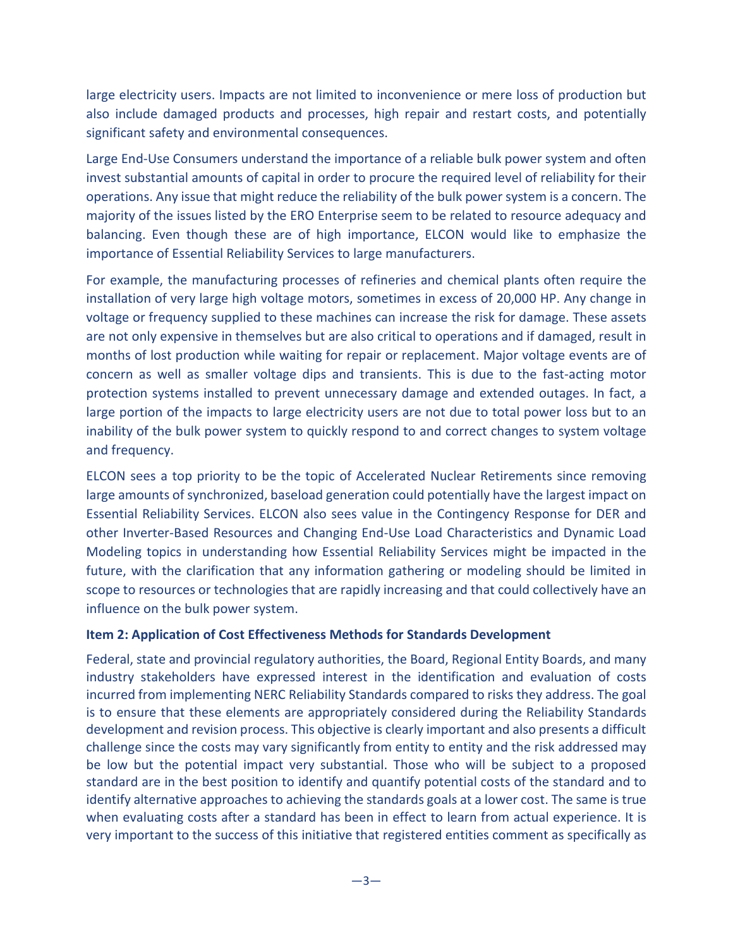large electricity users. Impacts are not limited to inconvenience or mere loss of production but also include damaged products and processes, high repair and restart costs, and potentially significant safety and environmental consequences.

Large End-Use Consumers understand the importance of a reliable bulk power system and often invest substantial amounts of capital in order to procure the required level of reliability for their operations. Any issue that might reduce the reliability of the bulk power system is a concern. The majority of the issues listed by the ERO Enterprise seem to be related to resource adequacy and balancing. Even though these are of high importance, ELCON would like to emphasize the importance of Essential Reliability Services to large manufacturers.

For example, the manufacturing processes of refineries and chemical plants often require the installation of very large high voltage motors, sometimes in excess of 20,000 HP. Any change in voltage or frequency supplied to these machines can increase the risk for damage. These assets are not only expensive in themselves but are also critical to operations and if damaged, result in months of lost production while waiting for repair or replacement. Major voltage events are of concern as well as smaller voltage dips and transients. This is due to the fast-acting motor protection systems installed to prevent unnecessary damage and extended outages. In fact, a large portion of the impacts to large electricity users are not due to total power loss but to an inability of the bulk power system to quickly respond to and correct changes to system voltage and frequency.

ELCON sees a top priority to be the topic of Accelerated Nuclear Retirements since removing large amounts of synchronized, baseload generation could potentially have the largest impact on Essential Reliability Services. ELCON also sees value in the Contingency Response for DER and other Inverter-Based Resources and Changing End-Use Load Characteristics and Dynamic Load Modeling topics in understanding how Essential Reliability Services might be impacted in the future, with the clarification that any information gathering or modeling should be limited in scope to resources or technologies that are rapidly increasing and that could collectively have an influence on the bulk power system.

## **Item 2: Application of Cost Effectiveness Methods for Standards Development**

Federal, state and provincial regulatory authorities, the Board, Regional Entity Boards, and many industry stakeholders have expressed interest in the identification and evaluation of costs incurred from implementing NERC Reliability Standards compared to risks they address. The goal is to ensure that these elements are appropriately considered during the Reliability Standards development and revision process. This objective is clearly important and also presents a difficult challenge since the costs may vary significantly from entity to entity and the risk addressed may be low but the potential impact very substantial. Those who will be subject to a proposed standard are in the best position to identify and quantify potential costs of the standard and to identify alternative approaches to achieving the standards goals at a lower cost. The same is true when evaluating costs after a standard has been in effect to learn from actual experience. It is very important to the success of this initiative that registered entities comment as specifically as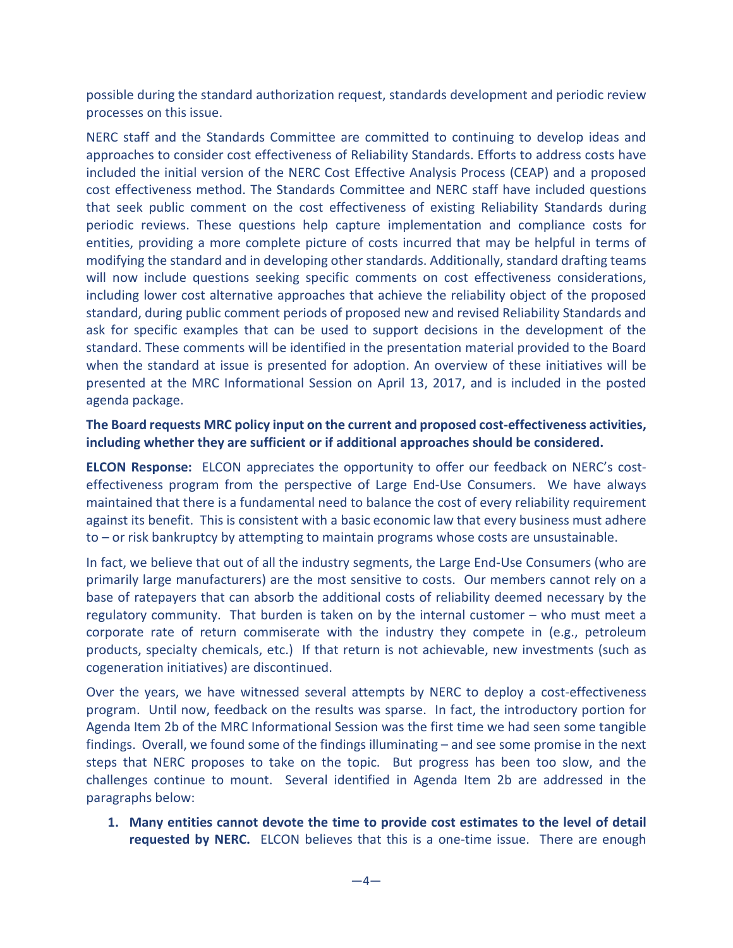possible during the standard authorization request, standards development and periodic review processes on this issue.

NERC staff and the Standards Committee are committed to continuing to develop ideas and approaches to consider cost effectiveness of Reliability Standards. Efforts to address costs have included the initial version of the NERC Cost Effective Analysis Process (CEAP) and a proposed cost effectiveness method. The Standards Committee and NERC staff have included questions that seek public comment on the cost effectiveness of existing Reliability Standards during periodic reviews. These questions help capture implementation and compliance costs for entities, providing a more complete picture of costs incurred that may be helpful in terms of modifying the standard and in developing other standards. Additionally, standard drafting teams will now include questions seeking specific comments on cost effectiveness considerations, including lower cost alternative approaches that achieve the reliability object of the proposed standard, during public comment periods of proposed new and revised Reliability Standards and ask for specific examples that can be used to support decisions in the development of the standard. These comments will be identified in the presentation material provided to the Board when the standard at issue is presented for adoption. An overview of these initiatives will be presented at the MRC Informational Session on April 13, 2017, and is included in the posted agenda package.

# **The Board requests MRC policy input on the current and proposed cost-effectiveness activities, including whether they are sufficient or if additional approaches should be considered.**

**ELCON Response:** ELCON appreciates the opportunity to offer our feedback on NERC's costeffectiveness program from the perspective of Large End-Use Consumers. We have always maintained that there is a fundamental need to balance the cost of every reliability requirement against its benefit. This is consistent with a basic economic law that every business must adhere to – or risk bankruptcy by attempting to maintain programs whose costs are unsustainable.

In fact, we believe that out of all the industry segments, the Large End-Use Consumers (who are primarily large manufacturers) are the most sensitive to costs. Our members cannot rely on a base of ratepayers that can absorb the additional costs of reliability deemed necessary by the regulatory community. That burden is taken on by the internal customer – who must meet a corporate rate of return commiserate with the industry they compete in (e.g., petroleum products, specialty chemicals, etc.) If that return is not achievable, new investments (such as cogeneration initiatives) are discontinued.

Over the years, we have witnessed several attempts by NERC to deploy a cost-effectiveness program. Until now, feedback on the results was sparse. In fact, the introductory portion for Agenda Item 2b of the MRC Informational Session was the first time we had seen some tangible findings. Overall, we found some of the findings illuminating – and see some promise in the next steps that NERC proposes to take on the topic. But progress has been too slow, and the challenges continue to mount. Several identified in Agenda Item 2b are addressed in the paragraphs below:

**1. Many entities cannot devote the time to provide cost estimates to the level of detail requested by NERC.** ELCON believes that this is a one-time issue. There are enough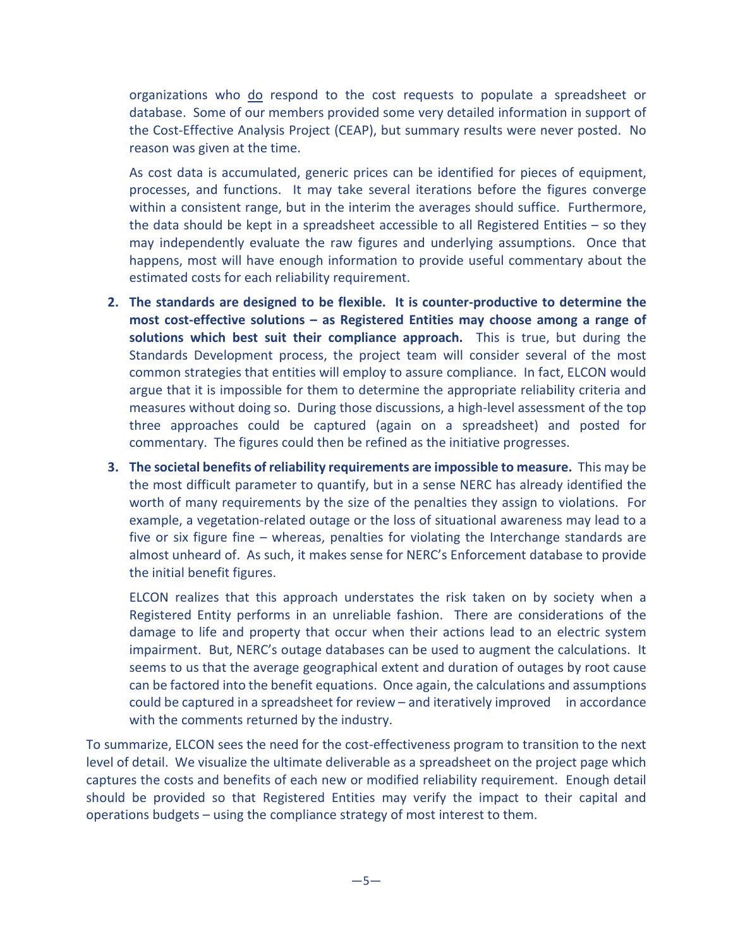organizations who do respond to the cost requests to populate a spreadsheet or database. Some of our members provided some very detailed information in support of the Cost-Effective Analysis Project (CEAP), but summary results were never posted. No reason was given at the time.

As cost data is accumulated, generic prices can be identified for pieces of equipment, processes, and functions. It may take several iterations before the figures converge within a consistent range, but in the interim the averages should suffice. Furthermore, the data should be kept in a spreadsheet accessible to all Registered Entities – so they may independently evaluate the raw figures and underlying assumptions. Once that happens, most will have enough information to provide useful commentary about the estimated costs for each reliability requirement.

- **2. The standards are designed to be flexible. It is counter-productive to determine the most cost-effective solutions – as Registered Entities may choose among a range of solutions which best suit their compliance approach.** This is true, but during the Standards Development process, the project team will consider several of the most common strategies that entities will employ to assure compliance. In fact, ELCON would argue that it is impossible for them to determine the appropriate reliability criteria and measures without doing so. During those discussions, a high-level assessment of the top three approaches could be captured (again on a spreadsheet) and posted for commentary. The figures could then be refined as the initiative progresses.
- **3. The societal benefits of reliability requirements are impossible to measure.** This may be the most difficult parameter to quantify, but in a sense NERC has already identified the worth of many requirements by the size of the penalties they assign to violations. For example, a vegetation-related outage or the loss of situational awareness may lead to a five or six figure fine – whereas, penalties for violating the Interchange standards are almost unheard of. As such, it makes sense for NERC's Enforcement database to provide the initial benefit figures.

ELCON realizes that this approach understates the risk taken on by society when a Registered Entity performs in an unreliable fashion. There are considerations of the damage to life and property that occur when their actions lead to an electric system impairment. But, NERC's outage databases can be used to augment the calculations. It seems to us that the average geographical extent and duration of outages by root cause can be factored into the benefit equations. Once again, the calculations and assumptions could be captured in a spreadsheet for review – and iteratively improved in accordance with the comments returned by the industry.

To summarize, ELCON sees the need for the cost-effectiveness program to transition to the next level of detail. We visualize the ultimate deliverable as a spreadsheet on the project page which captures the costs and benefits of each new or modified reliability requirement. Enough detail should be provided so that Registered Entities may verify the impact to their capital and operations budgets – using the compliance strategy of most interest to them.